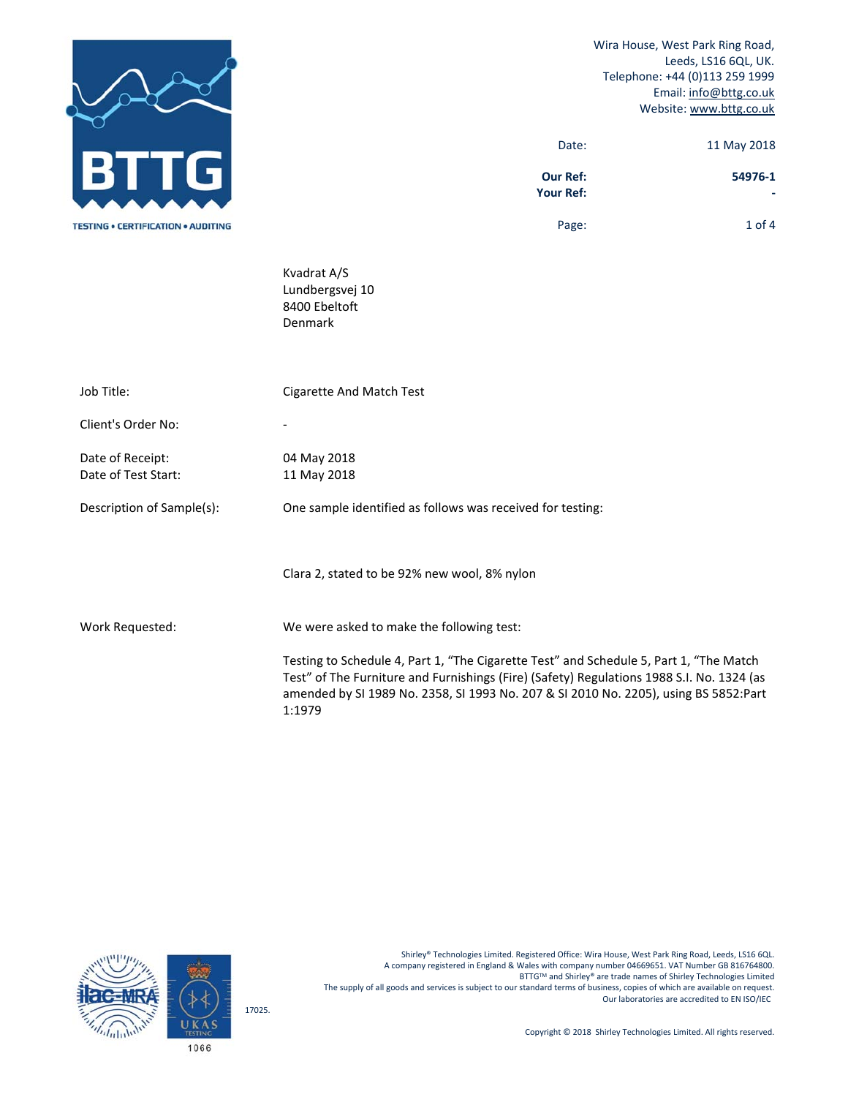



Shirley® Technologies Limited. Registered Office: Wira House, West Park Ring Road, Leeds, LS16 6QL. A company registered in England & Wales with company number 04669651. VAT Number GB 816764800. BTTGTM and Shirley® are trade names of Shirley Technologies Limited The supply of all goods and services is subject to our standard terms of business, copies of which are available on request. Our laboratories are accredited to EN ISO/IEC

Copyright © 2018 Shirley Technologies Limited. All rights reserved.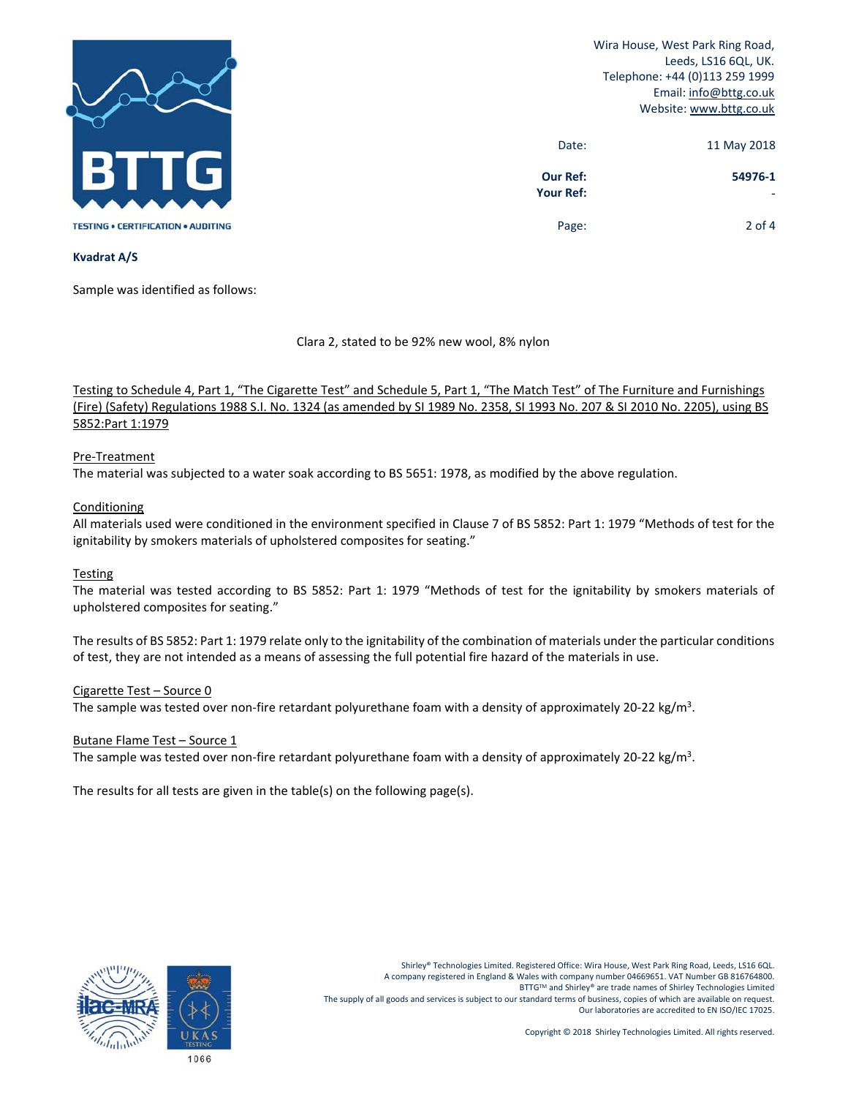

Wira House, West Park Ring Road, Leeds, LS16 6QL, UK. Telephone: +44 (0)113 259 1999 Email: info@bttg.co.uk Website: www.bttg.co.uk

| 11 May 2018 | Date:                               |
|-------------|-------------------------------------|
| 54976-1     | <b>Our Ref:</b><br><b>Your Ref:</b> |
| $2$ of 4    | Page:                               |

## **Kvadrat A/S**

Sample was identified as follows:

Clara 2, stated to be 92% new wool, 8% nylon

Testing to Schedule 4, Part 1, "The Cigarette Test" and Schedule 5, Part 1, "The Match Test" of The Furniture and Furnishings (Fire) (Safety) Regulations 1988 S.I. No. 1324 (as amended by SI 1989 No. 2358, SI 1993 No. 207 & SI 2010 No. 2205), using BS 5852:Part 1:1979

# Pre‐Treatment

The material was subjected to a water soak according to BS 5651: 1978, as modified by the above regulation.

# **Conditioning**

All materials used were conditioned in the environment specified in Clause 7 of BS 5852: Part 1: 1979 "Methods of test for the ignitability by smokers materials of upholstered composites for seating."

# Testing

The material was tested according to BS 5852: Part 1: 1979 "Methods of test for the ignitability by smokers materials of upholstered composites for seating."

The results of BS 5852: Part 1: 1979 relate only to the ignitability of the combination of materials under the particular conditions of test, they are not intended as a means of assessing the full potential fire hazard of the materials in use.

# Cigarette Test – Source 0

The sample was tested over non-fire retardant polyurethane foam with a density of approximately 20-22 kg/m<sup>3</sup>.

#### Butane Flame Test – Source 1

The sample was tested over non-fire retardant polyurethane foam with a density of approximately 20-22 kg/m<sup>3</sup>.

The results for all tests are given in the table(s) on the following page(s).

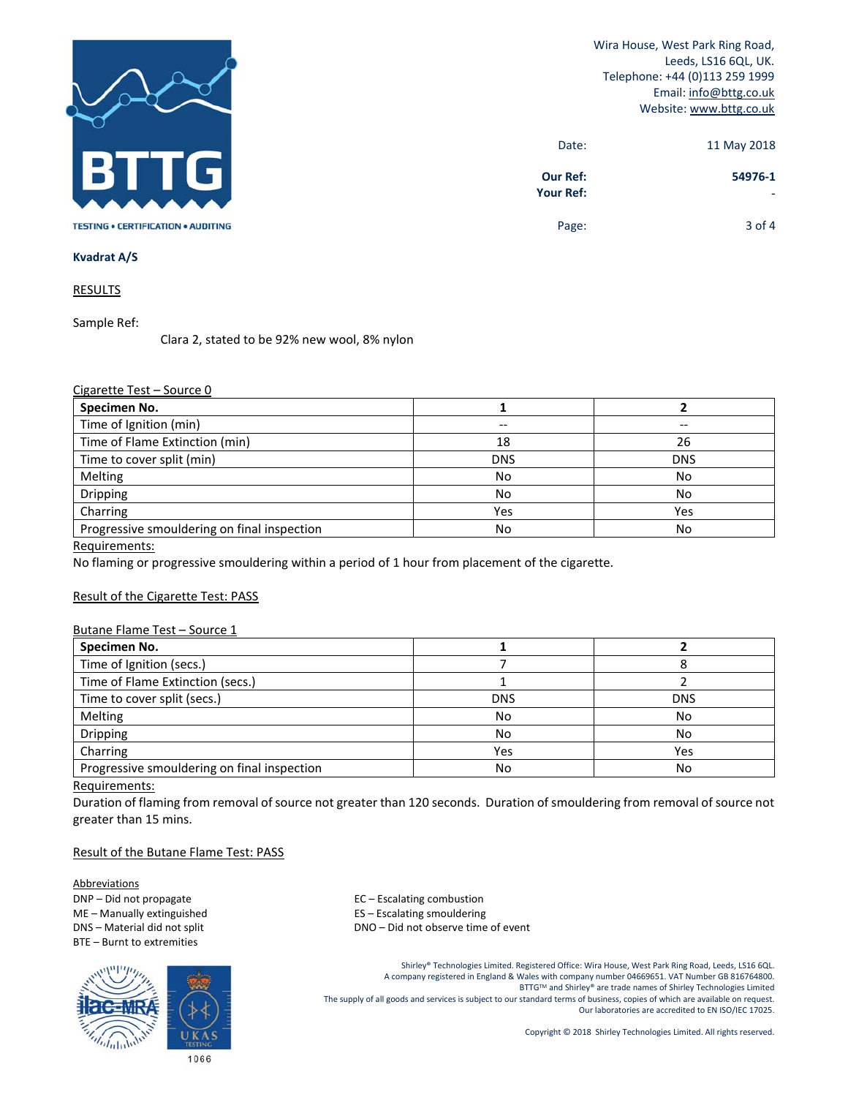

Wira House, West Park Ring Road, Leeds, LS16 6QL, UK. Telephone: +44 (0)113 259 1999 Email: info@bttg.co.uk Website: www.bttg.co.uk

| 11 May 2018 | Date:                               |
|-------------|-------------------------------------|
| 54976-1     | <b>Our Ref:</b><br><b>Your Ref:</b> |
| 3 of 4      | Page:                               |

### **Kvadrat A/S**

**RESULTS** 

Sample Ref:

Clara 2, stated to be 92% new wool, 8% nylon

# Cigarette Test – Source 0

| Specimen No.                                |            |            |
|---------------------------------------------|------------|------------|
| Time of Ignition (min)                      |            |            |
| Time of Flame Extinction (min)              | 18         | 26         |
| Time to cover split (min)                   | <b>DNS</b> | <b>DNS</b> |
| Melting                                     | No         | No         |
| Dripping                                    | No         | No         |
| Charring                                    | Yes        | Yes        |
| Progressive smouldering on final inspection | No         | No         |

Requirements:

No flaming or progressive smouldering within a period of 1 hour from placement of the cigarette.

# Result of the Cigarette Test: PASS

### Butane Flame Test – Source 1

| Specimen No.                                |            |            |
|---------------------------------------------|------------|------------|
| Time of Ignition (secs.)                    |            |            |
| Time of Flame Extinction (secs.)            |            |            |
| Time to cover split (secs.)                 | <b>DNS</b> | <b>DNS</b> |
| Melting                                     | No         | No         |
| Dripping                                    | No         | No         |
| Charring                                    | Yes        | Yes        |
| Progressive smouldering on final inspection | No         | No         |

#### Requirements:

Duration of flaming from removal of source not greater than 120 seconds. Duration of smouldering from removal of source not greater than 15 mins.

## Result of the Butane Flame Test: PASS

Abbreviations DNP – Did not propagate and the set of the set of the EC – Escalating combustion ME – Manually extinguished **Source 20 FLS** – Escalating smouldering BTE – Burnt to extremities



DNS – Material did not split **DNS** – DNO – Did not observe time of event

Shirley® Technologies Limited. Registered Office: Wira House, West Park Ring Road, Leeds, LS16 6QL. A company registered in England & Wales with company number 04669651. VAT Number GB 816764800. BTTGTM and Shirley® are trade names of Shirley Technologies Limited The supply of all goods and services is subject to our standard terms of business, copies of which are available on request. Our laboratories are accredited to EN ISO/IEC 17025.